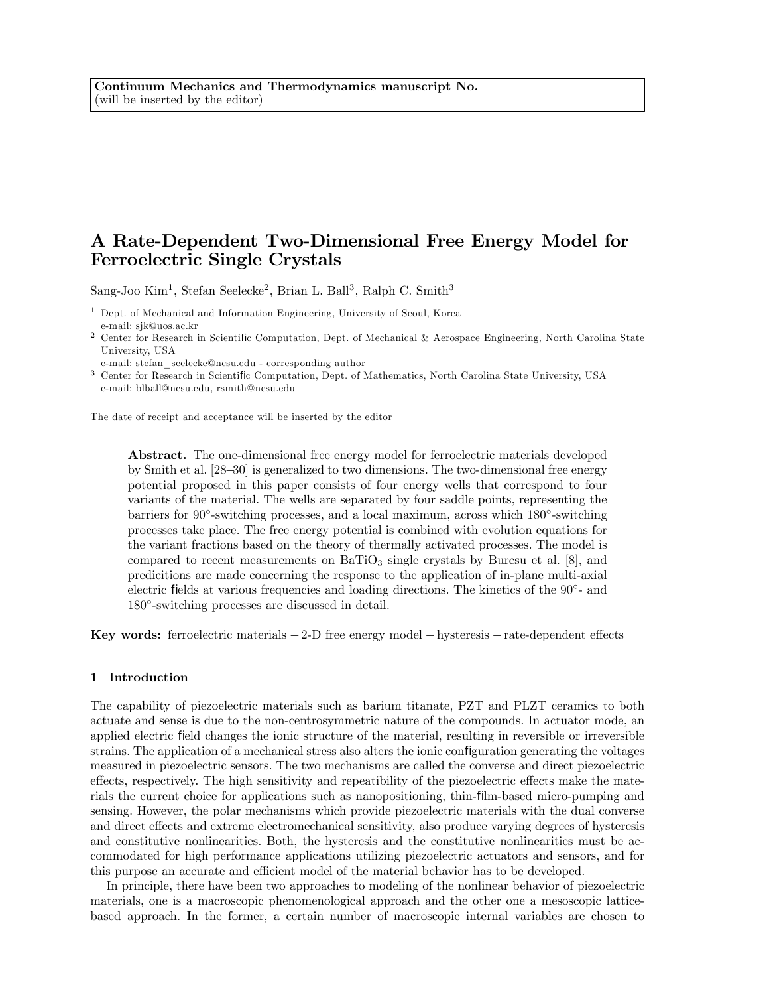# A Rate-Dependent Two-Dimensional Free Energy Model for Ferroelectric Single Crystals

Sang-Joo Kim<sup>1</sup>, Stefan Seelecke<sup>2</sup>, Brian L. Ball<sup>3</sup>, Ralph C. Smith<sup>3</sup>

<sup>1</sup> Dept. of Mechanical and Information Engineering, University of Seoul, Korea e-mail: sjk@uos.ac.kr

<sup>2</sup> Center for Research in Scientific Computation, Dept. of Mechanical & Aerospace Engineering, North Carolina State University, USA

e-mail: stefan\_seelecke@ncsu.edu - corresponding author

<sup>3</sup> Center for Research in Scientific Computation, Dept. of Mathematics, North Carolina State University, USA e-mail: blball@ncsu.edu, rsmith@ncsu.edu

The date of receipt and acceptance will be inserted by the editor

Abstract. The one-dimensional free energy model for ferroelectric materials developed by Smith et al. [28—30] is generalized to two dimensions. The two-dimensional free energy potential proposed in this paper consists of four energy wells that correspond to four variants of the material. The wells are separated by four saddle points, representing the barriers for 90◦-switching processes, and a local maximum, across which 180◦-switching processes take place. The free energy potential is combined with evolution equations for the variant fractions based on the theory of thermally activated processes. The model is compared to recent measurements on  $\text{BaTiO}_3$  single crystals by Burcsu et al. [8], and predicitions are made concerning the response to the application of in-plane multi-axial electric fields at various frequencies and loading directions. The kinetics of the 90◦- and 180◦-switching processes are discussed in detail.

Key words: ferroelectric materials  $-2-D$  free energy model  $-$  hysteresis  $-$  rate-dependent effects

# 1 Introduction

The capability of piezoelectric materials such as barium titanate, PZT and PLZT ceramics to both actuate and sense is due to the non-centrosymmetric nature of the compounds. In actuator mode, an applied electric field changes the ionic structure of the material, resulting in reversible or irreversible strains. The application of a mechanical stress also alters the ionic configuration generating the voltages measured in piezoelectric sensors. The two mechanisms are called the converse and direct piezoelectric effects, respectively. The high sensitivity and repeatibility of the piezoelectric effects make the materials the current choice for applications such as nanopositioning, thin-film-based micro-pumping and sensing. However, the polar mechanisms which provide piezoelectric materials with the dual converse and direct effects and extreme electromechanical sensitivity, also produce varying degrees of hysteresis and constitutive nonlinearities. Both, the hysteresis and the constitutive nonlinearities must be accommodated for high performance applications utilizing piezoelectric actuators and sensors, and for this purpose an accurate and efficient model of the material behavior has to be developed.

In principle, there have been two approaches to modeling of the nonlinear behavior of piezoelectric materials, one is a macroscopic phenomenological approach and the other one a mesoscopic latticebased approach. In the former, a certain number of macroscopic internal variables are chosen to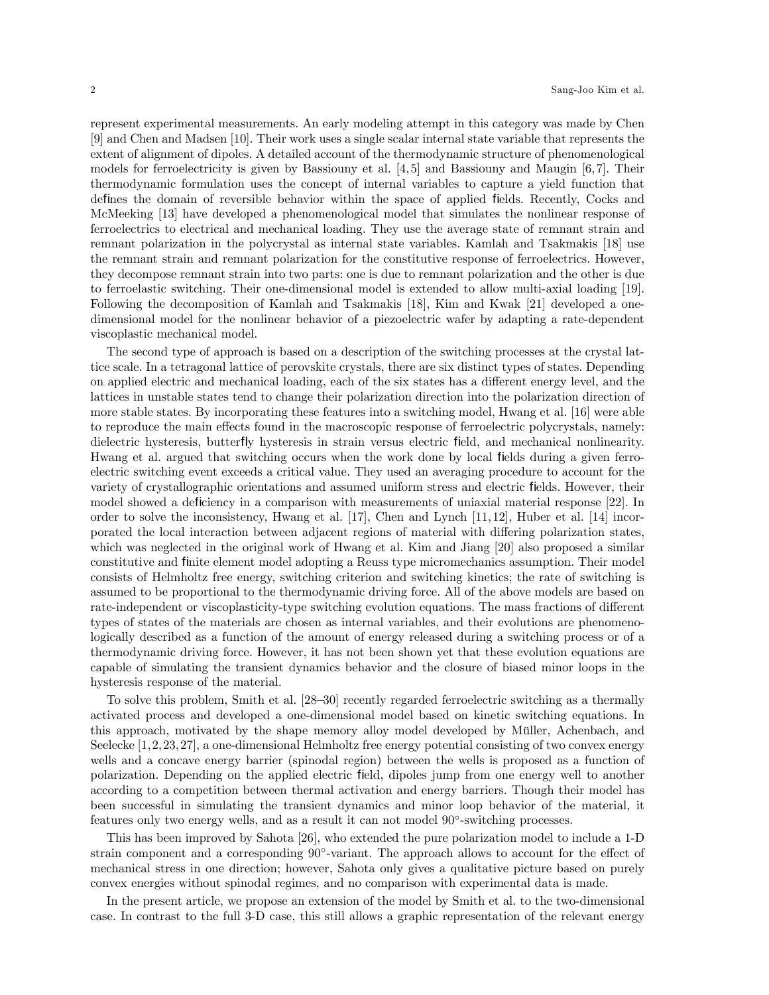represent experimental measurements. An early modeling attempt in this category was made by Chen [9] and Chen and Madsen [10]. Their work uses a single scalar internal state variable that represents the extent of alignment of dipoles. A detailed account of the thermodynamic structure of phenomenological models for ferroelectricity is given by Bassiouny et al.  $[4,5]$  and Bassiouny and Maugin  $[6,7]$ . Their thermodynamic formulation uses the concept of internal variables to capture a yield function that defines the domain of reversible behavior within the space of applied fields. Recently, Cocks and McMeeking [13] have developed a phenomenological model that simulates the nonlinear response of ferroelectrics to electrical and mechanical loading. They use the average state of remnant strain and remnant polarization in the polycrystal as internal state variables. Kamlah and Tsakmakis [18] use the remnant strain and remnant polarization for the constitutive response of ferroelectrics. However, they decompose remnant strain into two parts: one is due to remnant polarization and the other is due to ferroelastic switching. Their one-dimensional model is extended to allow multi-axial loading [19]. Following the decomposition of Kamlah and Tsakmakis [18], Kim and Kwak [21] developed a onedimensional model for the nonlinear behavior of a piezoelectric wafer by adapting a rate-dependent viscoplastic mechanical model.

The second type of approach is based on a description of the switching processes at the crystal lattice scale. In a tetragonal lattice of perovskite crystals, there are six distinct types of states. Depending on applied electric and mechanical loading, each of the six states has a different energy level, and the lattices in unstable states tend to change their polarization direction into the polarization direction of more stable states. By incorporating these features into a switching model, Hwang et al. [16] were able to reproduce the main effects found in the macroscopic response of ferroelectric polycrystals, namely: dielectric hysteresis, butterfly hysteresis in strain versus electric field, and mechanical nonlinearity. Hwang et al. argued that switching occurs when the work done by local fields during a given ferroelectric switching event exceeds a critical value. They used an averaging procedure to account for the variety of crystallographic orientations and assumed uniform stress and electric fields. However, their model showed a deficiency in a comparison with measurements of uniaxial material response [22]. In order to solve the inconsistency, Hwang et al. [17], Chen and Lynch [11,12], Huber et al. [14] incorporated the local interaction between adjacent regions of material with differing polarization states, which was neglected in the original work of Hwang et al. Kim and Jiang [20] also proposed a similar constitutive and finite element model adopting a Reuss type micromechanics assumption. Their model consists of Helmholtz free energy, switching criterion and switching kinetics; the rate of switching is assumed to be proportional to the thermodynamic driving force. All of the above models are based on rate-independent or viscoplasticity-type switching evolution equations. The mass fractions of different types of states of the materials are chosen as internal variables, and their evolutions are phenomenologically described as a function of the amount of energy released during a switching process or of a thermodynamic driving force. However, it has not been shown yet that these evolution equations are capable of simulating the transient dynamics behavior and the closure of biased minor loops in the hysteresis response of the material.

To solve this problem, Smith et al. [28—30] recently regarded ferroelectric switching as a thermally activated process and developed a one-dimensional model based on kinetic switching equations. In this approach, motivated by the shape memory alloy model developed by Müller, Achenbach, and Seelecke  $[1, 2, 23, 27]$ , a one-dimensional Helmholtz free energy potential consisting of two convex energy wells and a concave energy barrier (spinodal region) between the wells is proposed as a function of polarization. Depending on the applied electric field, dipoles jump from one energy well to another according to a competition between thermal activation and energy barriers. Though their model has been successful in simulating the transient dynamics and minor loop behavior of the material, it features only two energy wells, and as a result it can not model 90◦-switching processes.

This has been improved by Sahota [26], who extended the pure polarization model to include a 1-D strain component and a corresponding  $90°$ -variant. The approach allows to account for the effect of mechanical stress in one direction; however, Sahota only gives a qualitative picture based on purely convex energies without spinodal regimes, and no comparison with experimental data is made.

In the present article, we propose an extension of the model by Smith et al. to the two-dimensional case. In contrast to the full 3-D case, this still allows a graphic representation of the relevant energy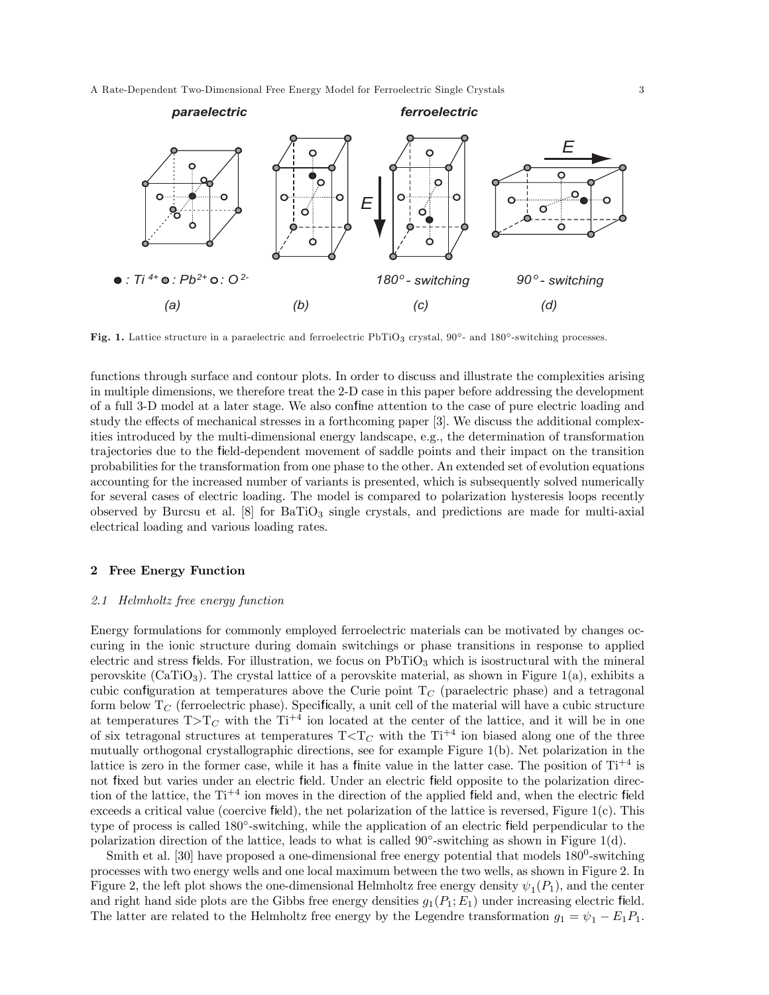A Rate-Dependent Two-Dimensional Free Energy Model for Ferroelectric Single Crystals 3



Fig. 1. Lattice structure in a paraelectric and ferroelectric PbTiO<sup>3</sup> crystal, 90◦- and 180◦-switching processes.

functions through surface and contour plots. In order to discuss and illustrate the complexities arising in multiple dimensions, we therefore treat the 2-D case in this paper before addressing the development of a full 3-D model at a later stage. We also confine attention to the case of pure electric loading and study the effects of mechanical stresses in a forthcoming paper [3]. We discuss the additional complexities introduced by the multi-dimensional energy landscape, e.g., the determination of transformation trajectories due to the field-dependent movement of saddle points and their impact on the transition probabilities for the transformation from one phase to the other. An extended set of evolution equations accounting for the increased number of variants is presented, which is subsequently solved numerically for several cases of electric loading. The model is compared to polarization hysteresis loops recently observed by Burcsu et al.  $[8]$  for  $BaTiO<sub>3</sub>$  single crystals, and predictions are made for multi-axial electrical loading and various loading rates.

#### 2 Free Energy Function

## 2.1 Helmholtz free energy function

Energy formulations for commonly employed ferroelectric materials can be motivated by changes occuring in the ionic structure during domain switchings or phase transitions in response to applied electric and stress fields. For illustration, we focus on  $PbTiO<sub>3</sub>$  which is isostructural with the mineral perovskite  $(CaTiO<sub>3</sub>)$ . The crystal lattice of a perovskite material, as shown in Figure 1(a), exhibits a cubic configuration at temperatures above the Curie point  $T_C$  (paraelectric phase) and a tetragonal form below  $T_C$  (ferroelectric phase). Specifically, a unit cell of the material will have a cubic structure at temperatures  $T>T_C$  with the  $Ti^{+4}$  ion located at the center of the lattice, and it will be in one of six tetragonal structures at temperatures  $T < T_C$  with the  $Ti^{+4}$  ion biased along one of the three mutually orthogonal crystallographic directions, see for example Figure 1(b). Net polarization in the lattice is zero in the former case, while it has a finite value in the latter case. The position of  $Ti^{+4}$  is not fixed but varies under an electric field. Under an electric field opposite to the polarization direction of the lattice, the  $Ti^{+4}$  ion moves in the direction of the applied field and, when the electric field exceeds a critical value (coercive field), the net polarization of the lattice is reversed, Figure 1(c). This type of process is called 180◦-switching, while the application of an electric field perpendicular to the polarization direction of the lattice, leads to what is called  $90°$ -switching as shown in Figure 1(d).

Smith et al.  $[30]$  have proposed a one-dimensional free energy potential that models  $180^0$ -switching processes with two energy wells and one local maximum between the two wells, as shown in Figure 2. In Figure 2, the left plot shows the one-dimensional Helmholtz free energy density  $\psi_1(P_1)$ , and the center and right hand side plots are the Gibbs free energy densities  $g_1(P_1; E_1)$  under increasing electric field. The latter are related to the Helmholtz free energy by the Legendre transformation  $g_1 = \psi_1 - E_1 P_1$ .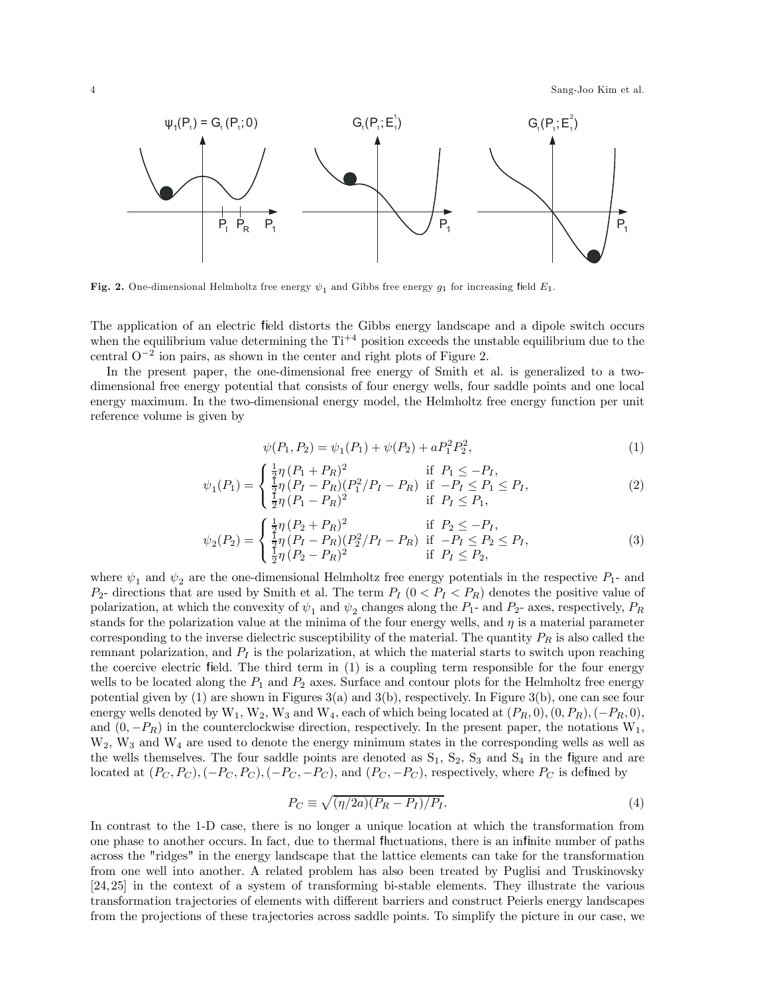4 Sang-Joo Kim et al.



Fig. 2. One-dimensional Helmholtz free energy  $\psi_1$  and Gibbs free energy  $g_1$  for increasing field  $E_1$ .

The application of an electric field distorts the Gibbs energy landscape and a dipole switch occurs when the equilibrium value determining the  $Ti<sup>+4</sup>$  position exceeds the unstable equilibrium due to the central  $O^{-2}$  ion pairs, as shown in the center and right plots of Figure 2.

In the present paper, the one-dimensional free energy of Smith et al. is generalized to a twodimensional free energy potential that consists of four energy wells, four saddle points and one local energy maximum. In the two-dimensional energy model, the Helmholtz free energy function per unit reference volume is given by

$$
\psi(P_1, P_2) = \psi_1(P_1) + \psi(P_2) + aP_1^2 P_2^2,\tag{1}
$$

$$
\psi_1(P_1) = \begin{cases} \frac{1}{2}\eta (P_1 + P_R)^2 & \text{if } P_1 \le -P_I, \\ \frac{1}{2}\eta (P_I - P_R)(P_1^2/P_I - P_R) & \text{if } -P_I \le P_1 \le P_I, \\ \frac{1}{2}\eta (P_1 - P_R)^2 & \text{if } P_I \le P_1, \end{cases}
$$
(2)

$$
\psi_2(P_2) = \begin{cases} \frac{1}{2}\eta (P_2 + P_R)^2 & \text{if } P_2 \le -P_I, \\ \frac{1}{2}\eta (P_I - P_R)(P_2^2/P_I - P_R) & \text{if } -P_I \le P_2 \le P_I, \\ \frac{1}{2}\eta (P_2 - P_R)^2 & \text{if } P_I \le P_2, \end{cases}
$$
(3)

where  $\psi_1$  and  $\psi_2$  are the one-dimensional Helmholtz free energy potentials in the respective  $P_1$ - and  $P_2$ - directions that are used by Smith et al. The term  $P_I$  ( $0 < P_I < P_R$ ) denotes the positive value of polarization, at which the convexity of  $\psi_1$  and  $\psi_2$  changes along the  $P_1$ - and  $P_2$ - axes, respectively,  $P_R$ stands for the polarization value at the minima of the four energy wells, and  $\eta$  is a material parameter corresponding to the inverse dielectric susceptibility of the material. The quantity  $P_R$  is also called the remnant polarization, and  $P_I$  is the polarization, at which the material starts to switch upon reaching the coercive electric field. The third term in (1) is a coupling term responsible for the four energy wells to be located along the  $P_1$  and  $P_2$  axes. Surface and contour plots for the Helmholtz free energy potential given by (1) are shown in Figures 3(a) and 3(b), respectively. In Figure 3(b), one can see four energy wells denoted by  $W_1$ ,  $W_2$ ,  $W_3$  and  $W_4$ , each of which being located at  $(P_R, 0), (0, P_R), (-P_R, 0)$ , and  $(0, -P_R)$  in the counterclockwise direction, respectively. In the present paper, the notations  $W_1$ , W2, W<sup>3</sup> and W<sup>4</sup> are used to denote the energy minimum states in the corresponding wells as well as the wells themselves. The four saddle points are denoted as  $S_1$ ,  $S_2$ ,  $S_3$  and  $S_4$  in the figure and are located at  $(P_C, P_C), (-P_C, P_C), (-P_C, -P_C)$ , and  $(P_C, -P_C)$ , respectively, where  $P_C$  is defined by

$$
P_C \equiv \sqrt{(\eta/2a)(P_R - P_I)/P_I}.\tag{4}
$$

In contrast to the 1-D case, there is no longer a unique location at which the transformation from one phase to another occurs. In fact, due to thermal fluctuations, there is an infinite number of paths across the "ridges" in the energy landscape that the lattice elements can take for the transformation from one well into another. A related problem has also been treated by Puglisi and Truskinovsky [24, 25] in the context of a system of transforming bi-stable elements. They illustrate the various transformation trajectories of elements with different barriers and construct Peierls energy landscapes from the projections of these trajectories across saddle points. To simplify the picture in our case, we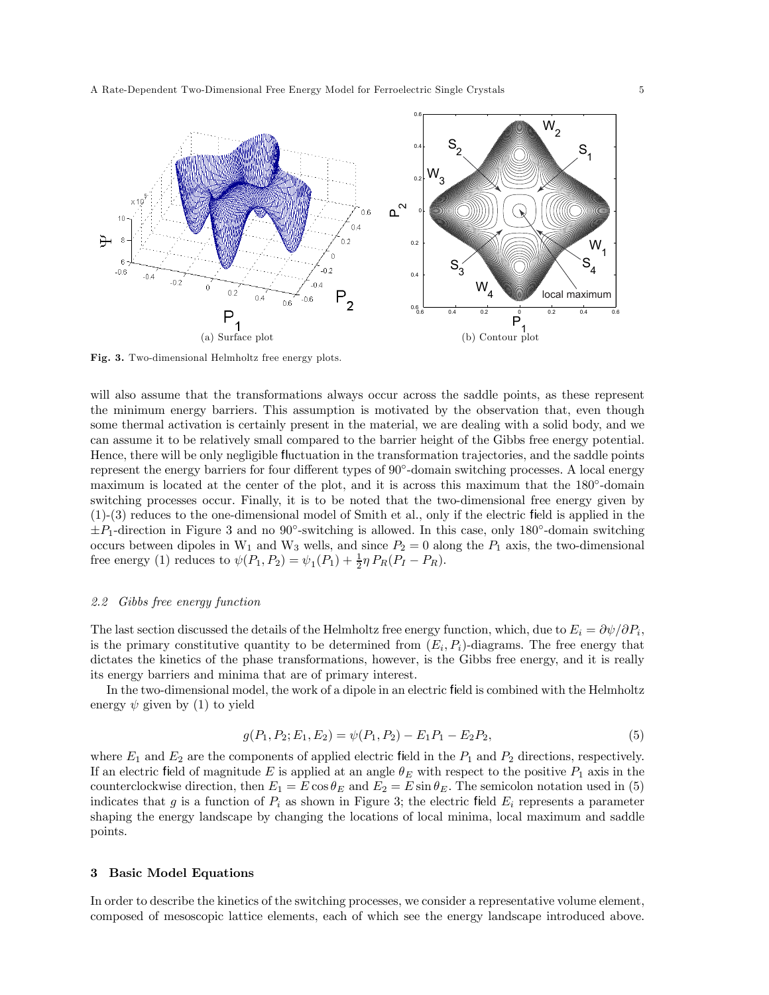

Fig. 3. Two-dimensional Helmholtz free energy plots.

will also assume that the transformations always occur across the saddle points, as these represent the minimum energy barriers. This assumption is motivated by the observation that, even though some thermal activation is certainly present in the material, we are dealing with a solid body, and we can assume it to be relatively small compared to the barrier height of the Gibbs free energy potential. Hence, there will be only negligible fluctuation in the transformation trajectories, and the saddle points represent the energy barriers for four different types of 90◦-domain switching processes. A local energy maximum is located at the center of the plot, and it is across this maximum that the 180◦-domain switching processes occur. Finally, it is to be noted that the two-dimensional free energy given by (1)-(3) reduces to the one-dimensional model of Smith et al., only if the electric field is applied in the  $\pm P_1$ -direction in Figure 3 and no 90°-switching is allowed. In this case, only 180°-domain switching occurs between dipoles in  $W_1$  and  $W_3$  wells, and since  $P_2 = 0$  along the  $P_1$  axis, the two-dimensional free energy (1) reduces to  $\psi(P_1, P_2) = \psi_1(P_1) + \frac{1}{2}\eta P_R(P_I - P_R)$ .

## 2.2 Gibbs free energy function

The last section discussed the details of the Helmholtz free energy function, which, due to  $E_i = \partial \psi / \partial P_i$ , is the primary constitutive quantity to be determined from  $(E_i, P_i)$ -diagrams. The free energy that dictates the kinetics of the phase transformations, however, is the Gibbs free energy, and it is really its energy barriers and minima that are of primary interest.

In the two-dimensional model, the work of a dipole in an electric field is combined with the Helmholtz energy  $\psi$  given by (1) to yield

$$
g(P_1, P_2; E_1, E_2) = \psi(P_1, P_2) - E_1 P_1 - E_2 P_2,
$$
\n<sup>(5)</sup>

where  $E_1$  and  $E_2$  are the components of applied electric field in the  $P_1$  and  $P_2$  directions, respectively. If an electric field of magnitude E is applied at an angle  $\theta_E$  with respect to the positive  $P_1$  axis in the counterclockwise direction, then  $E_1 = E \cos \theta_E$  and  $E_2 = E \sin \theta_E$ . The semicolon notation used in (5) indicates that g is a function of  $P_i$  as shown in Figure 3; the electric field  $E_i$  represents a parameter shaping the energy landscape by changing the locations of local minima, local maximum and saddle points.

#### 3 Basic Model Equations

In order to describe the kinetics of the switching processes, we consider a representative volume element, composed of mesoscopic lattice elements, each of which see the energy landscape introduced above.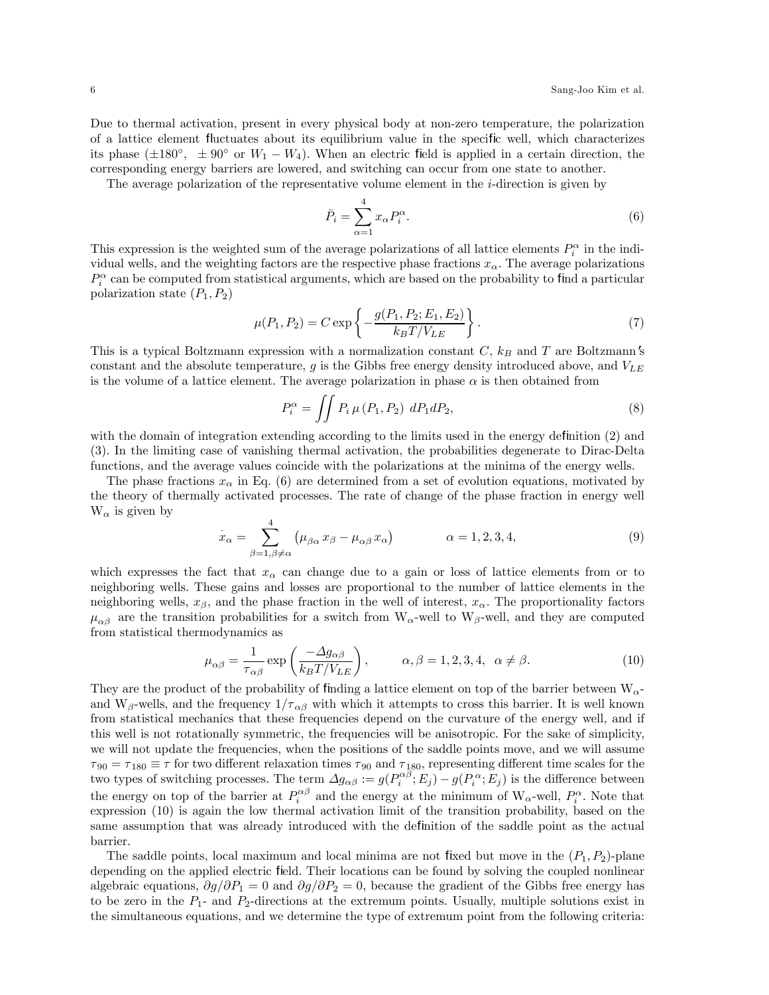Due to thermal activation, present in every physical body at non-zero temperature, the polarization of a lattice element fluctuates about its equilibrium value in the specific well, which characterizes its phase ( $\pm 180^\circ$ ,  $\pm 90^\circ$  or  $W_1 - W_4$ ). When an electric field is applied in a certain direction, the corresponding energy barriers are lowered, and switching can occur from one state to another.

The average polarization of the representative volume element in the i-direction is given by

$$
\bar{P}_i = \sum_{\alpha=1}^4 x_\alpha P_i^{\alpha}.
$$
\n(6)

This expression is the weighted sum of the average polarizations of all lattice elements  $P_i^{\alpha}$  in the individual wells, and the weighting factors are the respective phase fractions  $x_{\alpha}$ . The average polarizations  $P_i^{\alpha}$  can be computed from statistical arguments, which are based on the probability to find a particular polarization state  $(P_1, P_2)$ 

$$
\mu(P_1, P_2) = C \exp\left\{-\frac{g(P_1, P_2; E_1, E_2)}{k_B T/V_{LE}}\right\}.
$$
\n(7)

This is a typical Boltzmann expression with a normalization constant  $C$ ,  $k_B$  and  $T$  are Boltzmann's constant and the absolute temperature, g is the Gibbs free energy density introduced above, and  $V_{LE}$ is the volume of a lattice element. The average polarization in phase  $\alpha$  is then obtained from

$$
P_i^{\alpha} = \iint P_i \,\mu \left( P_1, P_2 \right) \, dP_1 dP_2,\tag{8}
$$

with the domain of integration extending according to the limits used in the energy definition (2) and (3). In the limiting case of vanishing thermal activation, the probabilities degenerate to Dirac-Delta functions, and the average values coincide with the polarizations at the minima of the energy wells.

The phase fractions  $x_{\alpha}$  in Eq. (6) are determined from a set of evolution equations, motivated by the theory of thermally activated processes. The rate of change of the phase fraction in energy well  $W_{\alpha}$  is given by

$$
\dot{x}_{\alpha} = \sum_{\beta=1,\beta \neq \alpha}^{4} \left( \mu_{\beta \alpha} x_{\beta} - \mu_{\alpha \beta} x_{\alpha} \right) \qquad \alpha = 1, 2, 3, 4,
$$
\n(9)

which expresses the fact that  $x_{\alpha}$  can change due to a gain or loss of lattice elements from or to neighboring wells. These gains and losses are proportional to the number of lattice elements in the neighboring wells,  $x_{\beta}$ , and the phase fraction in the well of interest,  $x_{\alpha}$ . The proportionality factors  $\mu_{\alpha\beta}$  are the transition probabilities for a switch from W<sub>α</sub>-well to W<sub>β</sub>-well, and they are computed from statistical thermodynamics as

$$
\mu_{\alpha\beta} = \frac{1}{\tau_{\alpha\beta}} \exp\left(\frac{-\Delta g_{\alpha\beta}}{k_B T / V_{LE}}\right), \qquad \alpha, \beta = 1, 2, 3, 4, \ \alpha \neq \beta. \tag{10}
$$

They are the product of the probability of finding a lattice element on top of the barrier between  $W_{\alpha}$ and W<sub>β</sub>-wells, and the frequency  $1/\tau_{\alpha\beta}$  with which it attempts to cross this barrier. It is well known from statistical mechanics that these frequencies depend on the curvature of the energy well, and if this well is not rotationally symmetric, the frequencies will be anisotropic. For the sake of simplicity, we will not update the frequencies, when the positions of the saddle points move, and we will assume  $\tau_{90} = \tau_{180} \equiv \tau$  for two different relaxation times  $\tau_{90}$  and  $\tau_{180}$ , representing different time scales for the two types of switching processes. The term  $\Delta g_{\alpha\beta} := g(P_i^{\alpha\beta}; E_j) - g(P_i^{\alpha}; E_j)$  is the difference between the energy on top of the barrier at  $P_i^{\alpha\beta}$  and the energy at the minimum of  $W_\alpha$ -well,  $P_i^{\alpha}$ . Note that expression (10) is again the low thermal activation limit of the transition probability, based on the same assumption that was already introduced with the definition of the saddle point as the actual barrier.

The saddle points, local maximum and local minima are not fixed but move in the  $(P_1, P_2)$ -plane depending on the applied electric field. Their locations can be found by solving the coupled nonlinear algebraic equations,  $\partial g/\partial P_1 = 0$  and  $\partial g/\partial P_2 = 0$ , because the gradient of the Gibbs free energy has to be zero in the  $P_1$ - and  $P_2$ -directions at the extremum points. Usually, multiple solutions exist in the simultaneous equations, and we determine the type of extremum point from the following criteria: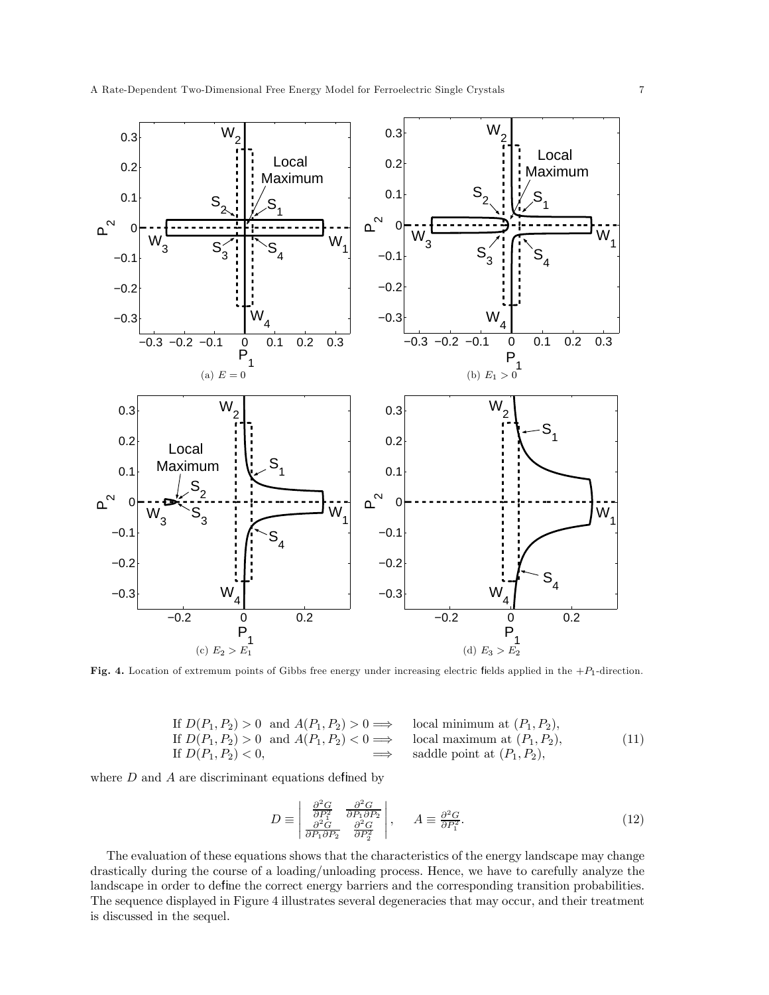

Fig. 4. Location of extremum points of Gibbs free energy under increasing electric fields applied in the  $+P_1$ -direction.

If 
$$
D(P_1, P_2) > 0
$$
 and  $A(P_1, P_2) > 0 \implies$  local minimum at  $(P_1, P_2)$ ,  
If  $D(P_1, P_2) > 0$  and  $A(P_1, P_2) < 0 \implies$  local maximum at  $(P_1, P_2)$ ,  
If  $D(P_1, P_2) < 0$ ,  $\implies$  saddle point at  $(P_1, P_2)$ , (11)

where  $D$  and  $A$  are discriminant equations defined by

$$
D \equiv \begin{vmatrix} \frac{\partial^2 G}{\partial P_1^2} & \frac{\partial^2 G}{\partial P_1 \partial P_2} \\ \frac{\partial^2 G}{\partial P_1 \partial P_2} & \frac{\partial^2 G}{\partial P_2^2} \end{vmatrix}, \qquad A \equiv \frac{\partial^2 G}{\partial P_1^2}.
$$
 (12)

The evaluation of these equations shows that the characteristics of the energy landscape may change drastically during the course of a loading/unloading process. Hence, we have to carefully analyze the landscape in order to define the correct energy barriers and the corresponding transition probabilities. The sequence displayed in Figure 4 illustrates several degeneracies that may occur, and their treatment is discussed in the sequel.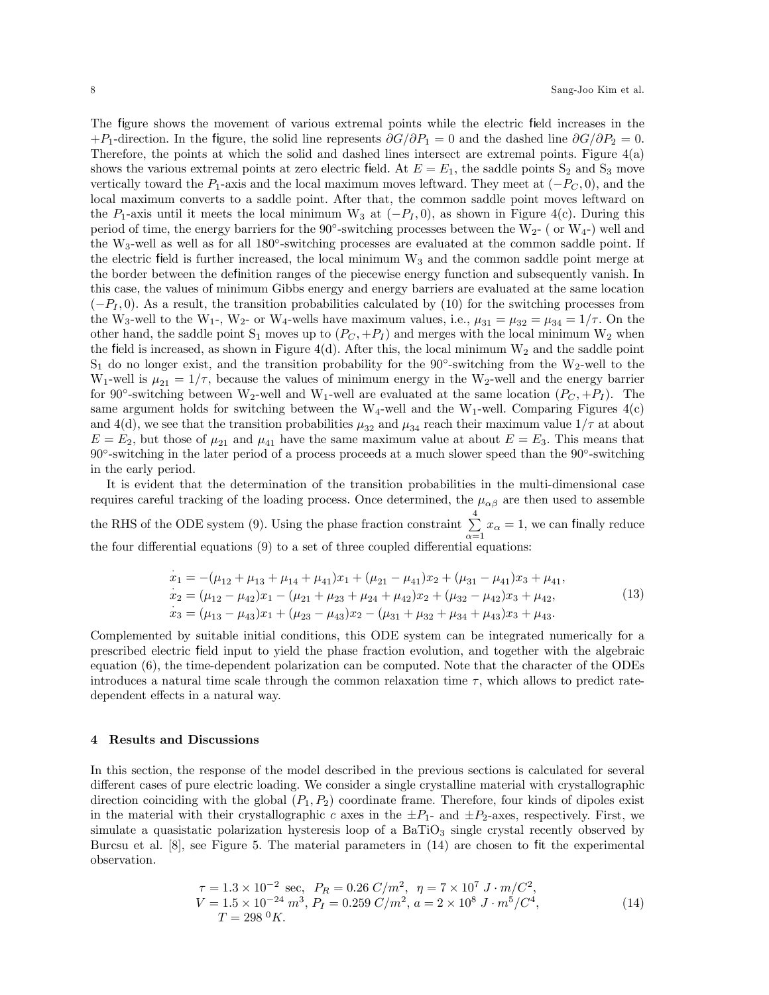The figure shows the movement of various extremal points while the electric field increases in the +P<sub>1</sub>-direction. In the figure, the solid line represents  $\partial G/\partial P_1 = 0$  and the dashed line  $\partial G/\partial P_2 = 0$ . Therefore, the points at which the solid and dashed lines intersect are extremal points. Figure 4(a) shows the various extremal points at zero electric field. At  $E = E_1$ , the saddle points  $S_2$  and  $S_3$  move vertically toward the  $P_1$ -axis and the local maximum moves leftward. They meet at  $(-P_C, 0)$ , and the local maximum converts to a saddle point. After that, the common saddle point moves leftward on the P<sub>1</sub>-axis until it meets the local minimum W<sub>3</sub> at  $(-P<sub>I</sub>, 0)$ , as shown in Figure 4(c). During this period of time, the energy barriers for the  $90°$ -switching processes between the W<sub>2</sub>- ( or W<sub>4</sub>-) well and the W3-well as well as for all 180◦-switching processes are evaluated at the common saddle point. If the electric field is further increased, the local minimum  $W_3$  and the common saddle point merge at the border between the definition ranges of the piecewise energy function and subsequently vanish. In this case, the values of minimum Gibbs energy and energy barriers are evaluated at the same location  $(-P<sub>I</sub>, 0)$ . As a result, the transition probabilities calculated by (10) for the switching processes from the W<sub>3</sub>-well to the W<sub>1</sub>-, W<sub>2</sub>- or W<sub>4</sub>-wells have maximum values, i.e.,  $\mu_{31} = \mu_{32} = \mu_{34} = 1/\tau$ . On the other hand, the saddle point  $S_1$  moves up to  $(P_C, +P_I)$  and merges with the local minimum  $W_2$  when the field is increased, as shown in Figure 4(d). After this, the local minimum  $W_2$  and the saddle point S<sub>1</sub> do no longer exist, and the transition probability for the 90°-switching from the W<sub>2</sub>-well to the W<sub>1</sub>-well is  $\mu_{21} = 1/\tau$ , because the values of minimum energy in the W<sub>2</sub>-well and the energy barrier for 90°-switching between W<sub>2</sub>-well and W<sub>1</sub>-well are evaluated at the same location  $(P_C, +P_I)$ . The same argument holds for switching between the  $W_4$ -well and the W<sub>1</sub>-well. Comparing Figures  $4(c)$ and 4(d), we see that the transition probabilities  $\mu_{32}$  and  $\mu_{34}$  reach their maximum value  $1/\tau$  at about  $E = E_2$ , but those of  $\mu_{21}$  and  $\mu_{41}$  have the same maximum value at about  $E = E_3$ . This means that 90◦-switching in the later period of a process proceeds at a much slower speed than the 90◦-switching in the early period.

It is evident that the determination of the transition probabilities in the multi-dimensional case requires careful tracking of the loading process. Once determined, the  $\mu_{\alpha\beta}$  are then used to assemble the RHS of the ODE system (9). Using the phase fraction constraint  $\sum_{i=1}^{4}$  $\sum_{\alpha=1} x_{\alpha} = 1$ , we can finally reduce the four differential equations (9) to a set of three coupled differential equations:

$$
\begin{aligned}\n\dot{x}_1 &= -(\mu_{12} + \mu_{13} + \mu_{14} + \mu_{41})x_1 + (\mu_{21} - \mu_{41})x_2 + (\mu_{31} - \mu_{41})x_3 + \mu_{41}, \\
\dot{x}_2 &= (\mu_{12} - \mu_{42})x_1 - (\mu_{21} + \mu_{23} + \mu_{24} + \mu_{42})x_2 + (\mu_{32} - \mu_{42})x_3 + \mu_{42}, \\
\dot{x}_3 &= (\mu_{13} - \mu_{43})x_1 + (\mu_{23} - \mu_{43})x_2 - (\mu_{31} + \mu_{32} + \mu_{34} + \mu_{43})x_3 + \mu_{43}.\n\end{aligned} \tag{13}
$$

Complemented by suitable initial conditions, this ODE system can be integrated numerically for a prescribed electric field input to yield the phase fraction evolution, and together with the algebraic equation (6), the time-dependent polarization can be computed. Note that the character of the ODEs introduces a natural time scale through the common relaxation time  $\tau$ , which allows to predict ratedependent effects in a natural way.

## 4 Results and Discussions

In this section, the response of the model described in the previous sections is calculated for several different cases of pure electric loading. We consider a single crystalline material with crystallographic direction coinciding with the global  $(P_1, P_2)$  coordinate frame. Therefore, four kinds of dipoles exist in the material with their crystallographic c axes in the  $\pm P_1$ - and  $\pm P_2$ -axes, respectively. First, we simulate a quasistatic polarization hysteresis loop of a  $BaTiO<sub>3</sub>$  single crystal recently observed by Burcsu et al. [8], see Figure 5. The material parameters in (14) are chosen to fit the experimental observation.

$$
\tau = 1.3 \times 10^{-2} \text{ sec}, \ P_R = 0.26 \ C/m^2, \ \eta = 7 \times 10^7 \ J \cdot m/C^2, \nV = 1.5 \times 10^{-24} \ m^3, \ P_I = 0.259 \ C/m^2, \ a = 2 \times 10^8 \ J \cdot m^5/C^4, \nT = 298 \ {}^0K.
$$
\n(14)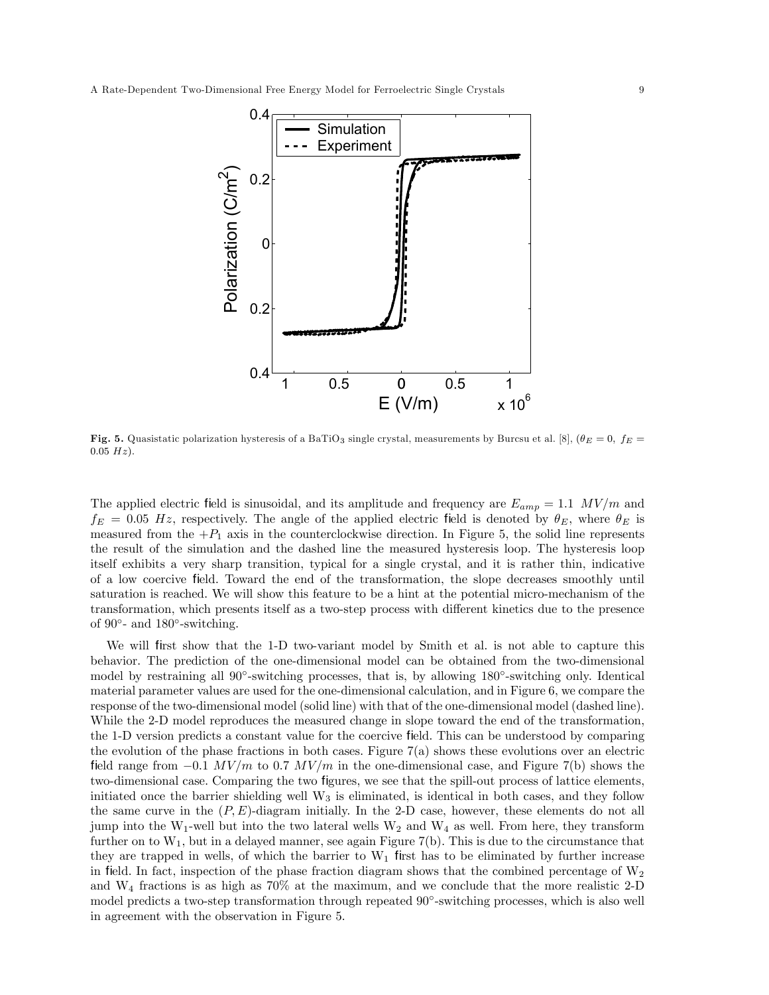

Fig. 5. Quasistatic polarization hysteresis of a BaTiO<sub>3</sub> single crystal, measurements by Burcsu et al. [8], ( $\theta_E = 0$ ,  $f_E =$  $0.05 Hz$ ).

The applied electric field is sinusoidal, and its amplitude and frequency are  $E_{amp} = 1.1$  MV/m and  $f_E = 0.05$  Hz, respectively. The angle of the applied electric field is denoted by  $\theta_E$ , where  $\theta_E$  is measured from the  $+P_1$  axis in the counterclockwise direction. In Figure 5, the solid line represents the result of the simulation and the dashed line the measured hysteresis loop. The hysteresis loop itself exhibits a very sharp transition, typical for a single crystal, and it is rather thin, indicative of a low coercive field. Toward the end of the transformation, the slope decreases smoothly until saturation is reached. We will show this feature to be a hint at the potential micro-mechanism of the transformation, which presents itself as a two-step process with different kinetics due to the presence of 90 $\degree$ - and 180 $\degree$ -switching.

We will first show that the 1-D two-variant model by Smith et al. is not able to capture this behavior. The prediction of the one-dimensional model can be obtained from the two-dimensional model by restraining all 90◦-switching processes, that is, by allowing 180◦-switching only. Identical material parameter values are used for the one-dimensional calculation, and in Figure 6, we compare the response of the two-dimensional model (solid line) with that of the one-dimensional model (dashed line). While the 2-D model reproduces the measured change in slope toward the end of the transformation, the 1-D version predicts a constant value for the coercive field. This can be understood by comparing the evolution of the phase fractions in both cases. Figure  $7(a)$  shows these evolutions over an electric field range from  $-0.1 \, MV/m$  to 0.7  $MV/m$  in the one-dimensional case, and Figure 7(b) shows the two-dimensional case. Comparing the two figures, we see that the spill-out process of lattice elements, initiated once the barrier shielding well  $W_3$  is eliminated, is identical in both cases, and they follow the same curve in the  $(P, E)$ -diagram initially. In the 2-D case, however, these elements do not all jump into the W<sub>1</sub>-well but into the two lateral wells  $W_2$  and  $W_4$  as well. From here, they transform further on to  $W_1$ , but in a delayed manner, see again Figure 7(b). This is due to the circumstance that they are trapped in wells, of which the barrier to  $W_1$  first has to be eliminated by further increase in field. In fact, inspection of the phase fraction diagram shows that the combined percentage of  $W_2$ and W<sup>4</sup> fractions is as high as 70% at the maximum, and we conclude that the more realistic 2-D model predicts a two-step transformation through repeated 90◦-switching processes, which is also well in agreement with the observation in Figure 5.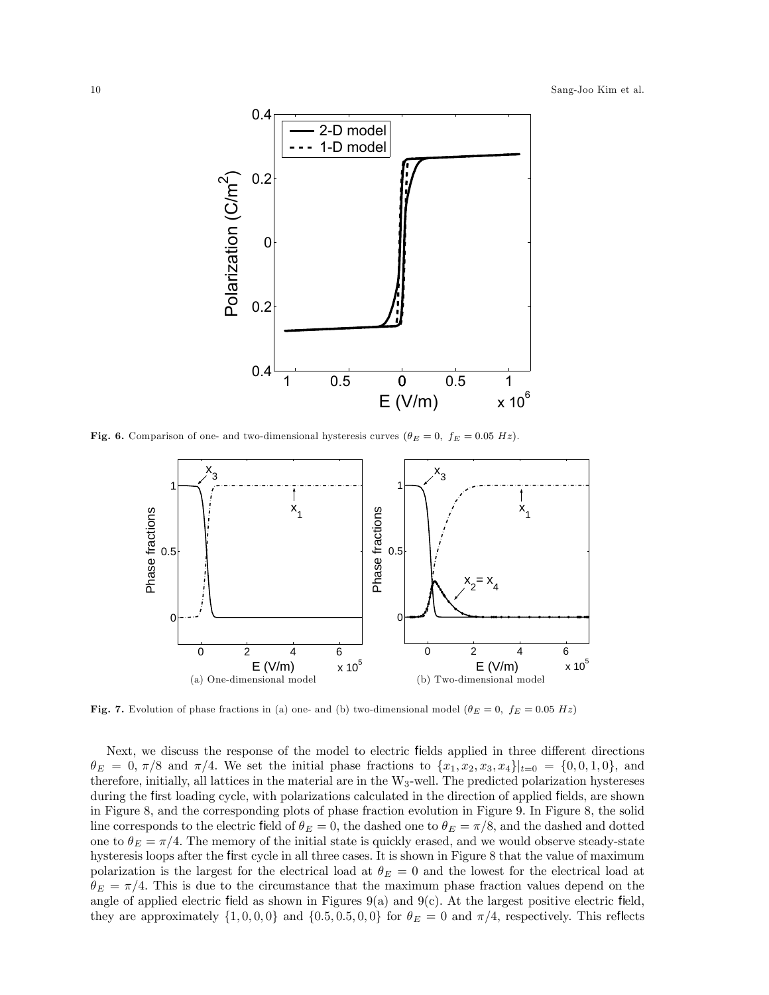

Fig. 6. Comparison of one- and two-dimensional hysteresis curves  $(\theta_E = 0, f_E = 0.05 \ Hz)$ .



Fig. 7. Evolution of phase fractions in (a) one- and (b) two-dimensional model ( $\theta_E = 0$ ,  $f_E = 0.05 Hz$ )

Next, we discuss the response of the model to electric fields applied in three different directions  $\theta_E = 0, \pi/8$  and  $\pi/4$ . We set the initial phase fractions to  $\{x_1, x_2, x_3, x_4\}|_{t=0} = \{0, 0, 1, 0\}$ , and therefore, initially, all lattices in the material are in the W3-well. The predicted polarization hystereses during the first loading cycle, with polarizations calculated in the direction of applied fields, are shown in Figure 8, and the corresponding plots of phase fraction evolution in Figure 9. In Figure 8, the solid line corresponds to the electric field of  $\theta_E = 0$ , the dashed one to  $\theta_E = \pi/8$ , and the dashed and dotted one to  $\theta_E = \pi/4$ . The memory of the initial state is quickly erased, and we would observe steady-state hysteresis loops after the first cycle in all three cases. It is shown in Figure 8 that the value of maximum polarization is the largest for the electrical load at  $\theta_E = 0$  and the lowest for the electrical load at  $\theta_E = \pi/4$ . This is due to the circumstance that the maximum phase fraction values depend on the angle of applied electric field as shown in Figures  $9(a)$  and  $9(c)$ . At the largest positive electric field, they are approximately  $\{1, 0, 0, 0\}$  and  $\{0.5, 0.5, 0, 0\}$  for  $\theta_E = 0$  and  $\pi/4$ , respectively. This reflects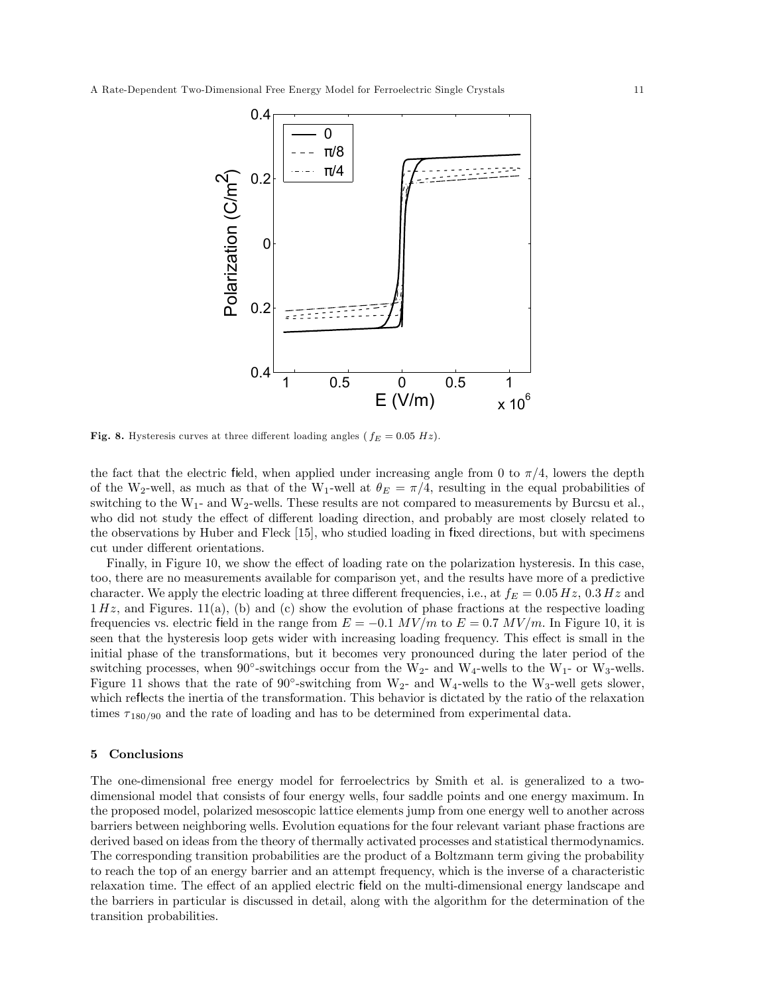

Fig. 8. Hysteresis curves at three different loading angles ( $f_E = 0.05 Hz$ ).

the fact that the electric field, when applied under increasing angle from 0 to  $\pi/4$ , lowers the depth of the W<sub>2</sub>-well, as much as that of the W<sub>1</sub>-well at  $\theta_E = \pi/4$ , resulting in the equal probabilities of switching to the  $W_1$ - and  $W_2$ -wells. These results are not compared to measurements by Burcsu et al., who did not study the effect of different loading direction, and probably are most closely related to the observations by Huber and Fleck [15], who studied loading in fixed directions, but with specimens cut under different orientations.

Finally, in Figure 10, we show the effect of loading rate on the polarization hysteresis. In this case, too, there are no measurements available for comparison yet, and the results have more of a predictive character. We apply the electric loading at three different frequencies, i.e., at  $f_E = 0.05 Hz$ ,  $0.3 Hz$  and  $1 Hz$ , and Figures.  $11(a)$ , (b) and (c) show the evolution of phase fractions at the respective loading frequencies vs. electric field in the range from  $E = -0.1$  MV/m to  $E = 0.7$  MV/m. In Figure 10, it is seen that the hysteresis loop gets wider with increasing loading frequency. This effect is small in the initial phase of the transformations, but it becomes very pronounced during the later period of the switching processes, when  $90^{\circ}$ -switchings occur from the W<sub>2</sub>- and W<sub>4</sub>-wells to the W<sub>1</sub>- or W<sub>3</sub>-wells. Figure 11 shows that the rate of  $90^{\circ}$ -switching from W<sub>2</sub>- and W<sub>4</sub>-wells to the W<sub>3</sub>-well gets slower, which reflects the inertia of the transformation. This behavior is dictated by the ratio of the relaxation times  $\tau_{180/90}$  and the rate of loading and has to be determined from experimental data.

## 5 Conclusions

The one-dimensional free energy model for ferroelectrics by Smith et al. is generalized to a twodimensional model that consists of four energy wells, four saddle points and one energy maximum. In the proposed model, polarized mesoscopic lattice elements jump from one energy well to another across barriers between neighboring wells. Evolution equations for the four relevant variant phase fractions are derived based on ideas from the theory of thermally activated processes and statistical thermodynamics. The corresponding transition probabilities are the product of a Boltzmann term giving the probability to reach the top of an energy barrier and an attempt frequency, which is the inverse of a characteristic relaxation time. The effect of an applied electric field on the multi-dimensional energy landscape and the barriers in particular is discussed in detail, along with the algorithm for the determination of the transition probabilities.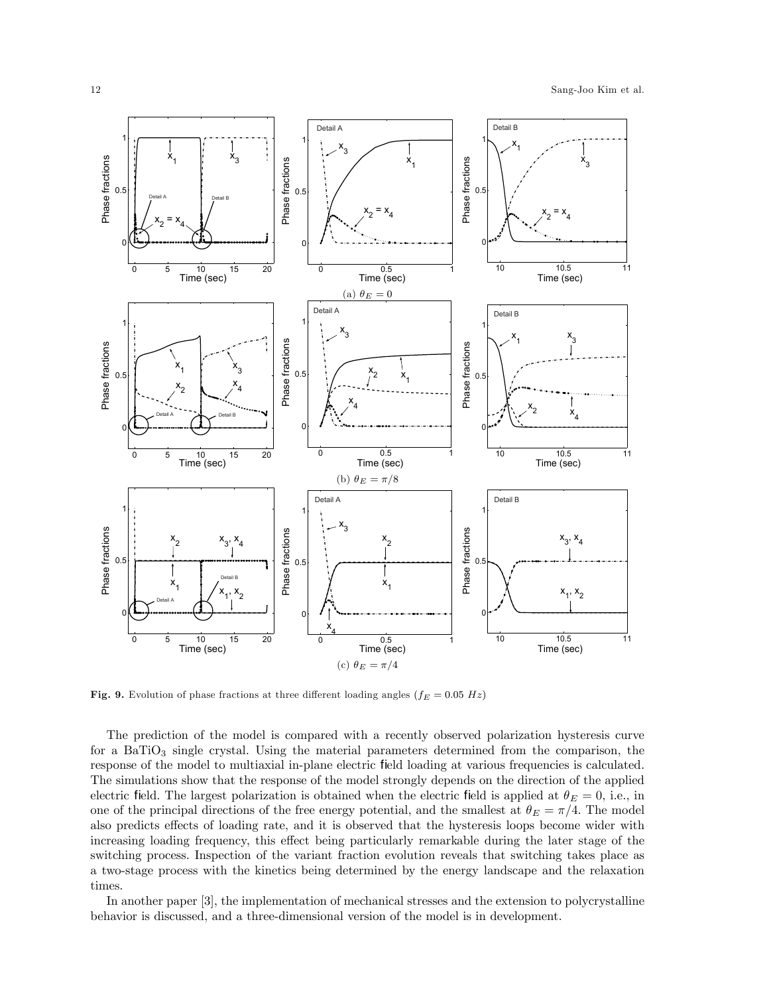

Fig. 9. Evolution of phase fractions at three different loading angles  $(f_E = 0.05 \ Hz)$ 

The prediction of the model is compared with a recently observed polarization hysteresis curve for a BaTiO<sub>3</sub> single crystal. Using the material parameters determined from the comparison, the response of the model to multiaxial in-plane electric field loading at various frequencies is calculated. The simulations show that the response of the model strongly depends on the direction of the applied electric field. The largest polarization is obtained when the electric field is applied at  $\theta_E = 0$ , i.e., in one of the principal directions of the free energy potential, and the smallest at  $\theta_E = \pi/4$ . The model also predicts effects of loading rate, and it is observed that the hysteresis loops become wider with increasing loading frequency, this effect being particularly remarkable during the later stage of the switching process. Inspection of the variant fraction evolution reveals that switching takes place as a two-stage process with the kinetics being determined by the energy landscape and the relaxation times.

In another paper [3], the implementation of mechanical stresses and the extension to polycrystalline behavior is discussed, and a three-dimensional version of the model is in development.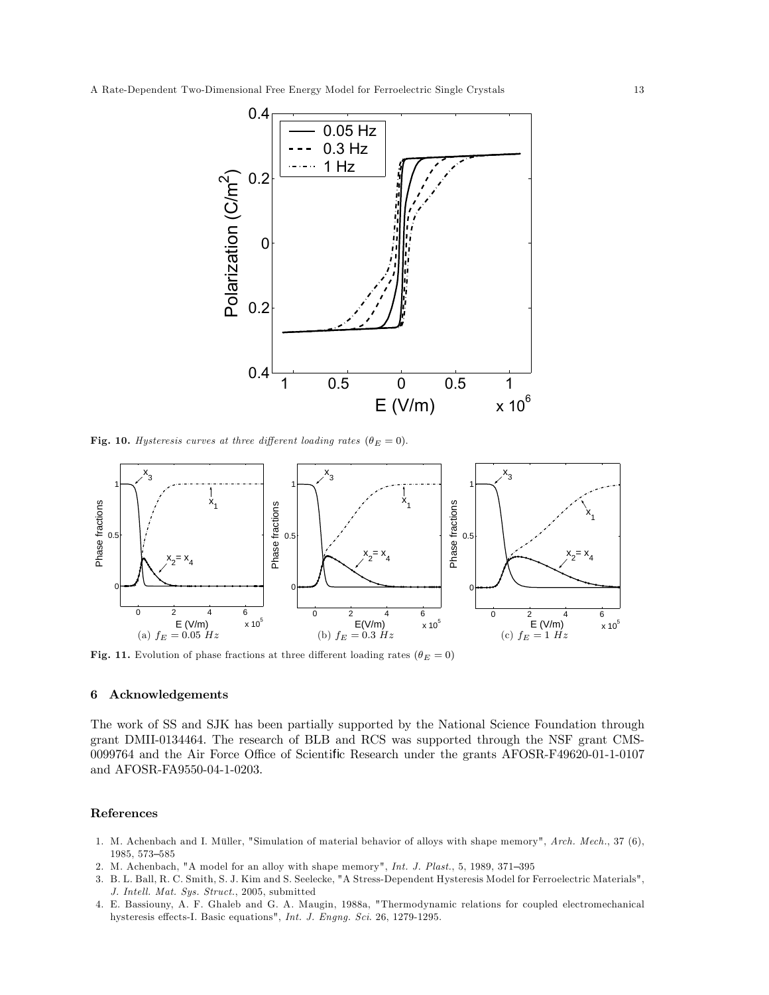

Fig. 10. Hysteresis curves at three different loading rates  $(\theta_E = 0)$ .



Fig. 11. Evolution of phase fractions at three different loading rates ( $\theta_E = 0$ )

#### 6 Acknowledgements

The work of SS and SJK has been partially supported by the National Science Foundation through grant DMII-0134464. The research of BLB and RCS was supported through the NSF grant CMS-0099764 and the Air Force Office of Scientific Research under the grants AFOSR-F49620-01-1-0107 and AFOSR-FA9550-04-1-0203.

#### References

- 1. M. Achenbach and I. Müller, "Simulation of material behavior of alloys with shape memory", Arch. Mech., 37 (6), 1985, 573—585
- 2. M. Achenbach, "A model for an alloy with shape memory", Int. J. Plast., 5, 1989, 371—395
- 3. B. L. Ball, R. C. Smith, S. J. Kim and S. Seelecke, "A Stress-Dependent Hysteresis Model for Ferroelectric Materials", J. Intell. Mat. Sys. Struct., 2005, submitted
- 4. E. Bassiouny, A. F. Ghaleb and G. A. Maugin, 1988a, "Thermodynamic relations for coupled electromechanical hysteresis effects-I. Basic equations", Int. J. Engng. Sci. 26, 1279-1295.